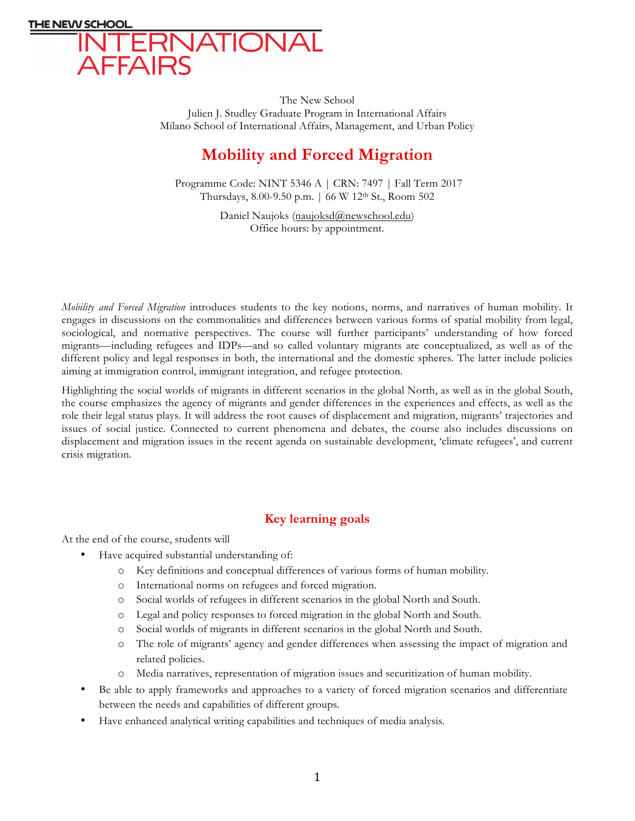

The New School Julien J. Studley Graduate Program in International Affairs Milano School of International Affairs, Management, and Urban Policy

# **Mobility and Forced Migration**

Programme Code: NINT 5346 A | CRN: 7497 | Fall Term 2017 Thursdays, 8.00-9.50 p.m. | 66 W 12th St., Room 502

> Daniel Naujoks (naujoksd@newschool.edu) Office hours: by appointment.

*Mobility and Forced Migration* introduces students to the key notions, norms, and narratives of human mobility. It engages in discussions on the commonalities and differences between various forms of spatial mobility from legal, sociological, and normative perspectives. The course will further participants' understanding of how forced migrants—including refugees and IDPs—and so called voluntary migrants are conceptualized, as well as of the different policy and legal responses in both, the international and the domestic spheres. The latter include policies aiming at immigration control, immigrant integration, and refugee protection.

Highlighting the social worlds of migrants in different scenarios in the global North, as well as in the global South, the course emphasizes the agency of migrants and gender differences in the experiences and effects, as well as the role their legal status plays. It will address the root causes of displacement and migration, migrants' trajectories and issues of social justice. Connected to current phenomena and debates, the course also includes discussions on displacement and migration issues in the recent agenda on sustainable development, 'climate refugees', and current crisis migration.

## **Key learning goals**

At the end of the course, students will

- Have acquired substantial understanding of:
	- o Key definitions and conceptual differences of various forms of human mobility.
	- o International norms on refugees and forced migration.
	- o Social worlds of refugees in different scenarios in the global North and South.
	- o Legal and policy responses to forced migration in the global North and South.
	- o Social worlds of migrants in different scenarios in the global North and South.
	- o The role of migrants' agency and gender differences when assessing the impact of migration and related policies.
	- o Media narratives, representation of migration issues and securitization of human mobility.
- Be able to apply frameworks and approaches to a variety of forced migration scenarios and differentiate between the needs and capabilities of different groups.
- Have enhanced analytical writing capabilities and techniques of media analysis.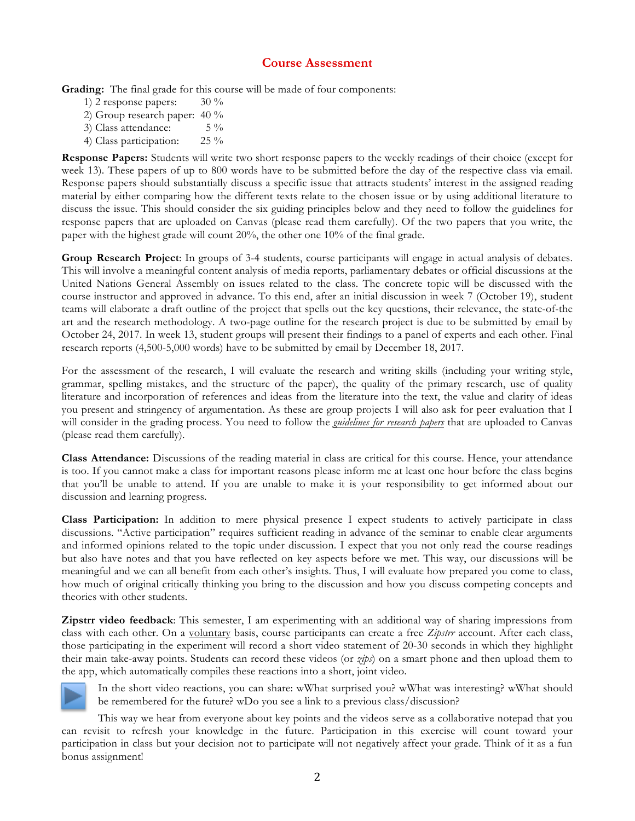## **Course Assessment**

**Grading:** The final grade for this course will be made of four components:

- 1) 2 response papers: 30 % 2) Group research paper: 40 % 3) Class attendance: 5 %
- 4) Class participation: 25 %

**Response Papers:** Students will write two short response papers to the weekly readings of their choice (except for week 13). These papers of up to 800 words have to be submitted before the day of the respective class via email. Response papers should substantially discuss a specific issue that attracts students' interest in the assigned reading material by either comparing how the different texts relate to the chosen issue or by using additional literature to discuss the issue. This should consider the six guiding principles below and they need to follow the guidelines for response papers that are uploaded on Canvas (please read them carefully). Of the two papers that you write, the paper with the highest grade will count 20%, the other one 10% of the final grade.

**Group Research Project**: In groups of 3-4 students, course participants will engage in actual analysis of debates. This will involve a meaningful content analysis of media reports, parliamentary debates or official discussions at the United Nations General Assembly on issues related to the class. The concrete topic will be discussed with the course instructor and approved in advance. To this end, after an initial discussion in week 7 (October 19), student teams will elaborate a draft outline of the project that spells out the key questions, their relevance, the state-of-the art and the research methodology. A two-page outline for the research project is due to be submitted by email by October 24, 2017. In week 13, student groups will present their findings to a panel of experts and each other. Final research reports (4,500-5,000 words) have to be submitted by email by December 18, 2017.

For the assessment of the research, I will evaluate the research and writing skills (including your writing style, grammar, spelling mistakes, and the structure of the paper), the quality of the primary research, use of quality literature and incorporation of references and ideas from the literature into the text, the value and clarity of ideas you present and stringency of argumentation. As these are group projects I will also ask for peer evaluation that I will consider in the grading process. You need to follow the *guidelines for research papers* that are uploaded to Canvas (please read them carefully).

**Class Attendance:** Discussions of the reading material in class are critical for this course. Hence, your attendance is too. If you cannot make a class for important reasons please inform me at least one hour before the class begins that you'll be unable to attend. If you are unable to make it is your responsibility to get informed about our discussion and learning progress.

**Class Participation:** In addition to mere physical presence I expect students to actively participate in class discussions. "Active participation" requires sufficient reading in advance of the seminar to enable clear arguments and informed opinions related to the topic under discussion. I expect that you not only read the course readings but also have notes and that you have reflected on key aspects before we met. This way, our discussions will be meaningful and we can all benefit from each other's insights. Thus, I will evaluate how prepared you come to class, how much of original critically thinking you bring to the discussion and how you discuss competing concepts and theories with other students.

**Zipstrr video feedback**: This semester, I am experimenting with an additional way of sharing impressions from class with each other. On a voluntary basis, course participants can create a free *Zipstrr* account. After each class, those participating in the experiment will record a short video statement of 20-30 seconds in which they highlight their main take-away points. Students can record these videos (or *zips*) on a smart phone and then upload them to the app, which automatically compiles these reactions into a short, joint video.



In the short video reactions, you can share: wWhat surprised you? wWhat was interesting? wWhat should be remembered for the future? wDo you see a link to a previous class/discussion?

This way we hear from everyone about key points and the videos serve as a collaborative notepad that you can revisit to refresh your knowledge in the future. Participation in this exercise will count toward your participation in class but your decision not to participate will not negatively affect your grade. Think of it as a fun bonus assignment!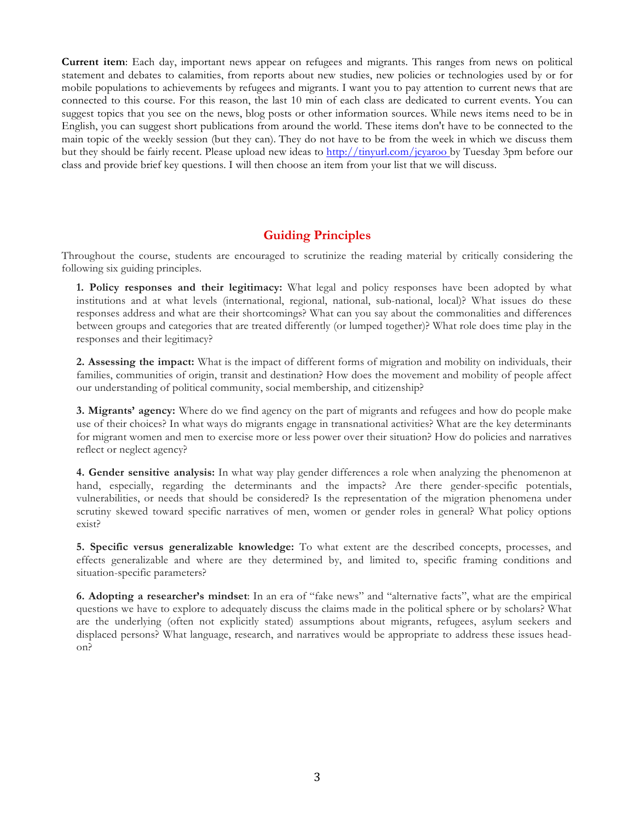**Current item**: Each day, important news appear on refugees and migrants. This ranges from news on political statement and debates to calamities, from reports about new studies, new policies or technologies used by or for mobile populations to achievements by refugees and migrants. I want you to pay attention to current news that are connected to this course. For this reason, the last 10 min of each class are dedicated to current events. You can suggest topics that you see on the news, blog posts or other information sources. While news items need to be in English, you can suggest short publications from around the world. These items don't have to be connected to the main topic of the weekly session (but they can). They do not have to be from the week in which we discuss them but they should be fairly recent. Please upload new ideas to http://tinyurl.com/jcyaroo by Tuesday 3pm before our class and provide brief key questions. I will then choose an item from your list that we will discuss.

## **Guiding Principles**

Throughout the course, students are encouraged to scrutinize the reading material by critically considering the following six guiding principles.

**1. Policy responses and their legitimacy:** What legal and policy responses have been adopted by what institutions and at what levels (international, regional, national, sub-national, local)? What issues do these responses address and what are their shortcomings? What can you say about the commonalities and differences between groups and categories that are treated differently (or lumped together)? What role does time play in the responses and their legitimacy?

**2. Assessing the impact:** What is the impact of different forms of migration and mobility on individuals, their families, communities of origin, transit and destination? How does the movement and mobility of people affect our understanding of political community, social membership, and citizenship?

**3. Migrants' agency:** Where do we find agency on the part of migrants and refugees and how do people make use of their choices? In what ways do migrants engage in transnational activities? What are the key determinants for migrant women and men to exercise more or less power over their situation? How do policies and narratives reflect or neglect agency?

**4. Gender sensitive analysis:** In what way play gender differences a role when analyzing the phenomenon at hand, especially, regarding the determinants and the impacts? Are there gender-specific potentials, vulnerabilities, or needs that should be considered? Is the representation of the migration phenomena under scrutiny skewed toward specific narratives of men, women or gender roles in general? What policy options exist?

**5. Specific versus generalizable knowledge:** To what extent are the described concepts, processes, and effects generalizable and where are they determined by, and limited to, specific framing conditions and situation-specific parameters?

**6. Adopting a researcher's mindset**: In an era of "fake news" and "alternative facts", what are the empirical questions we have to explore to adequately discuss the claims made in the political sphere or by scholars? What are the underlying (often not explicitly stated) assumptions about migrants, refugees, asylum seekers and displaced persons? What language, research, and narratives would be appropriate to address these issues headon?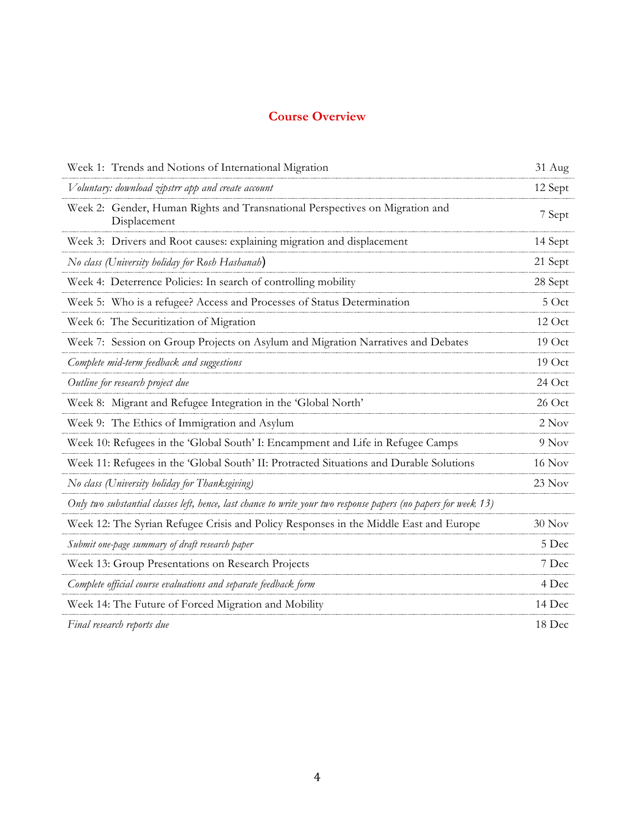## **Course Overview**

| Week 1: Trends and Notions of International Migration                                                           | 31 Aug  |
|-----------------------------------------------------------------------------------------------------------------|---------|
| Voluntary: download zipstrr app and create account                                                              | 12 Sept |
| Week 2: Gender, Human Rights and Transnational Perspectives on Migration and<br>Displacement                    | 7 Sept  |
| Week 3: Drivers and Root causes: explaining migration and displacement                                          | 14 Sept |
| No class (University holiday for Rosh Hashanah)                                                                 | 21 Sept |
| Week 4: Deterrence Policies: In search of controlling mobility                                                  | 28 Sept |
| Week 5: Who is a refugee? Access and Processes of Status Determination                                          | $5$ Oct |
| Week 6: The Securitization of Migration                                                                         | 12 Oct  |
| Week 7: Session on Group Projects on Asylum and Migration Narratives and Debates                                | 19 Oct  |
| Complete mid-term feedback and suggestions                                                                      | 19 Oct  |
| Outline for research project due                                                                                | 24 Oct  |
| Week 8: Migrant and Refugee Integration in the 'Global North'                                                   | 26 Oct  |
| Week 9: The Ethics of Immigration and Asylum                                                                    | 2 Nov   |
| Week 10: Refugees in the 'Global South' I: Encampment and Life in Refugee Camps                                 | 9 Nov   |
| Week 11: Refugees in the 'Global South' II: Protracted Situations and Durable Solutions                         | 16 Nov  |
| No class (University holiday for Thanksgiving)                                                                  | 23 Nov  |
| Only two substantial classes left, hence, last chance to write your two response papers (no papers for week 13) |         |
| Week 12: The Syrian Refugee Crisis and Policy Responses in the Middle East and Europe                           | 30 Nov  |
| Submit one-page summary of draft research paper                                                                 | 5 Dec   |
| Week 13: Group Presentations on Research Projects                                                               | 7 Dec   |
| Complete official course evaluations and separate feedback form                                                 | 4 Dec   |
| Week 14: The Future of Forced Migration and Mobility                                                            | 14 Dec  |
| Final research reports due                                                                                      | 18 Dec  |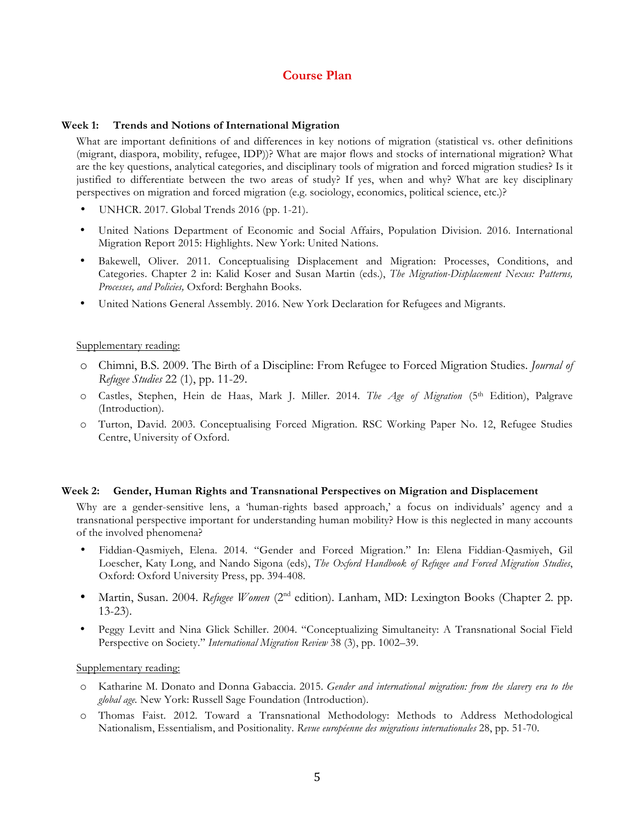## **Course Plan**

#### **Week 1: Trends and Notions of International Migration**

What are important definitions of and differences in key notions of migration (statistical vs. other definitions (migrant, diaspora, mobility, refugee, IDP))? What are major flows and stocks of international migration? What are the key questions, analytical categories, and disciplinary tools of migration and forced migration studies? Is it justified to differentiate between the two areas of study? If yes, when and why? What are key disciplinary perspectives on migration and forced migration (e.g. sociology, economics, political science, etc.)?

- UNHCR. 2017. Global Trends 2016 (pp. 1-21).
- United Nations Department of Economic and Social Affairs, Population Division. 2016. International Migration Report 2015: Highlights. New York: United Nations.
- Bakewell, Oliver. 2011. Conceptualising Displacement and Migration: Processes, Conditions, and Categories. Chapter 2 in: Kalid Koser and Susan Martin (eds.), *The Migration-Displacement Nexus: Patterns, Processes, and Policies,* Oxford: Berghahn Books.
- United Nations General Assembly. 2016. New York Declaration for Refugees and Migrants.

#### Supplementary reading:

- o Chimni, B.S. 2009. The Birth of a Discipline: From Refugee to Forced Migration Studies. *Journal of Refugee Studies* 22 (1), pp. 11-29.
- o Castles, Stephen, Hein de Haas, Mark J. Miller. 2014. *The Age of Migration* (5th Edition), Palgrave (Introduction).
- o Turton, David. 2003. Conceptualising Forced Migration. RSC Working Paper No. 12, Refugee Studies Centre, University of Oxford.

#### **Week 2: Gender, Human Rights and Transnational Perspectives on Migration and Displacement**

Why are a gender-sensitive lens, a 'human-rights based approach,' a focus on individuals' agency and a transnational perspective important for understanding human mobility? How is this neglected in many accounts of the involved phenomena?

- Fiddian-Qasmiyeh, Elena. 2014. "Gender and Forced Migration." In: Elena Fiddian-Qasmiyeh, Gil Loescher, Katy Long, and Nando Sigona (eds), *The Oxford Handbook of Refugee and Forced Migration Studies*, Oxford: Oxford University Press, pp. 394-408.
- Martin, Susan. 2004. *Refugee Women* (2<sup>nd</sup> edition). Lanham, MD: Lexington Books (Chapter 2. pp. 13-23).
- Peggy Levitt and Nina Glick Schiller. 2004. "Conceptualizing Simultaneity: A Transnational Social Field Perspective on Society." *International Migration Review* 38 (3), pp. 1002–39.

- o Katharine M. Donato and Donna Gabaccia. 2015. *Gender and international migration: from the slavery era to the global age.* New York: Russell Sage Foundation (Introduction).
- o Thomas Faist. 2012. Toward a Transnational Methodology: Methods to Address Methodological Nationalism, Essentialism, and Positionality. *Revue européenne des migrations internationales* 28, pp. 51-70.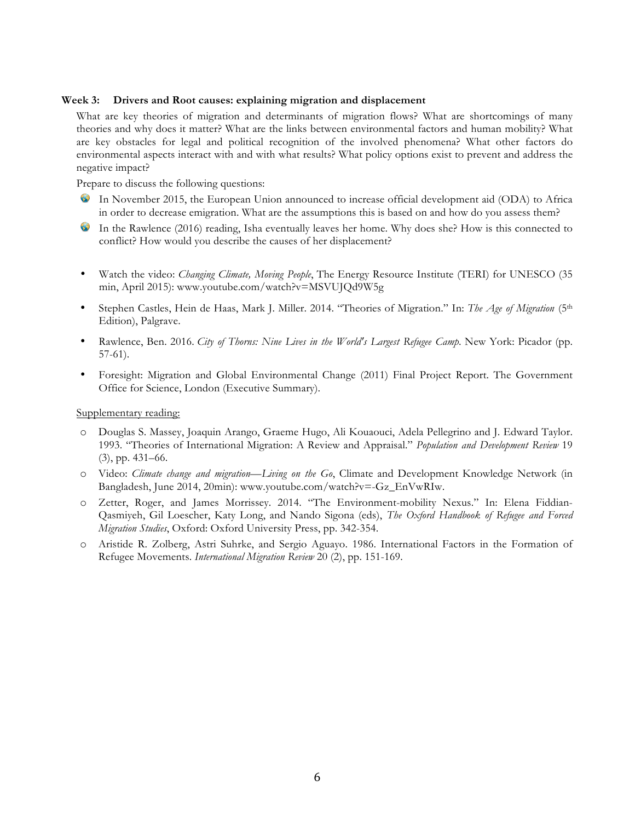#### **Week 3: Drivers and Root causes: explaining migration and displacement**

What are key theories of migration and determinants of migration flows? What are shortcomings of many theories and why does it matter? What are the links between environmental factors and human mobility? What are key obstacles for legal and political recognition of the involved phenomena? What other factors do environmental aspects interact with and with what results? What policy options exist to prevent and address the negative impact?

Prepare to discuss the following questions:

- In November 2015, the European Union announced to increase official development aid (ODA) to Africa **SS** in order to decrease emigration. What are the assumptions this is based on and how do you assess them?
- $\bullet$ In the Rawlence (2016) reading, Isha eventually leaves her home. Why does she? How is this connected to conflict? How would you describe the causes of her displacement?
- Watch the video: *Changing Climate, Moving People*, The Energy Resource Institute (TERI) for UNESCO (35 min, April 2015): www.youtube.com/watch?v=MSVUJQd9W5g
- Stephen Castles, Hein de Haas, Mark J. Miller. 2014. "Theories of Migration." In: *The Age of Migration* (5th Edition), Palgrave.
- Rawlence, Ben. 2016. *City of Thorns: Nine Lives in the World's Largest Refugee Camp*. New York: Picador (pp. 57-61).
- Foresight: Migration and Global Environmental Change (2011) Final Project Report. The Government Office for Science, London (Executive Summary).

- o Douglas S. Massey, Joaquin Arango, Graeme Hugo, Ali Kouaouci, Adela Pellegrino and J. Edward Taylor. 1993. "Theories of International Migration: A Review and Appraisal." *Population and Development Review* 19 (3), pp. 431–66.
- o Video: *Climate change and migration—Living on the Go*, Climate and Development Knowledge Network (in Bangladesh, June 2014, 20min): www.youtube.com/watch?v=-Gz\_EnVwRIw.
- o Zetter, Roger, and James Morrissey. 2014. "The Environment-mobility Nexus." In: Elena Fiddian-Qasmiyeh, Gil Loescher, Katy Long, and Nando Sigona (eds), *The Oxford Handbook of Refugee and Forced Migration Studies*, Oxford: Oxford University Press, pp. 342-354.
- o Aristide R. Zolberg, Astri Suhrke, and Sergio Aguayo. 1986. International Factors in the Formation of Refugee Movements. *International Migration Review* 20 (2), pp. 151-169.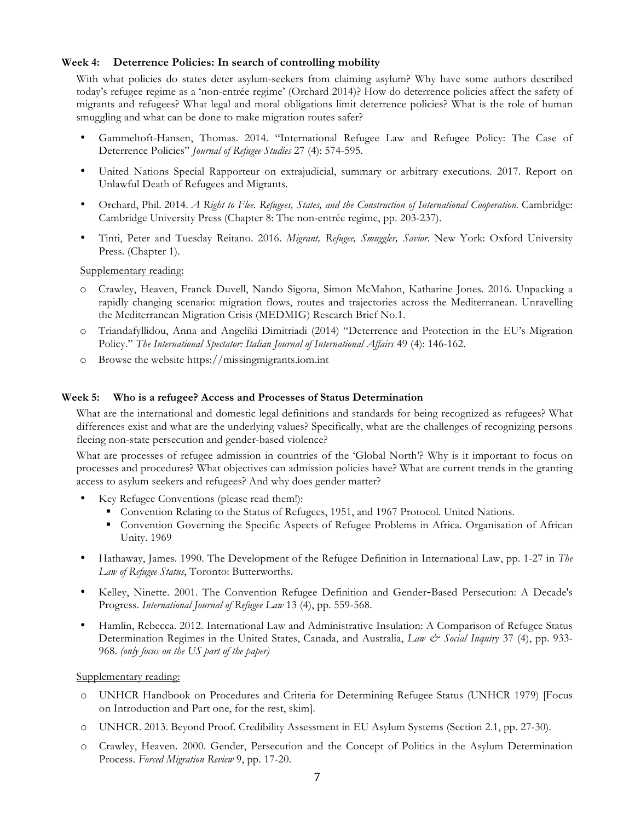#### **Week 4: Deterrence Policies: In search of controlling mobility**

With what policies do states deter asylum-seekers from claiming asylum? Why have some authors described today's refugee regime as a 'non-entrée regime' (Orchard 2014)? How do deterrence policies affect the safety of migrants and refugees? What legal and moral obligations limit deterrence policies? What is the role of human smuggling and what can be done to make migration routes safer?

- Gammeltoft-Hansen, Thomas. 2014. "International Refugee Law and Refugee Policy: The Case of Deterrence Policies" *Journal of Refugee Studies* 27 (4): 574-595.
- United Nations Special Rapporteur on extrajudicial, summary or arbitrary executions. 2017. Report on Unlawful Death of Refugees and Migrants.
- Orchard, Phil. 2014. *A Right to Flee. Refugees, States, and the Construction of International Cooperation.* Cambridge: Cambridge University Press (Chapter 8: The non-entrée regime, pp. 203-237).
- Tinti, Peter and Tuesday Reitano. 2016. *Migrant, Refugee, Smuggler, Savior*. New York: Oxford University Press. (Chapter 1).

Supplementary reading:

- o Crawley, Heaven, Franck Duvell, Nando Sigona, Simon McMahon, Katharine Jones. 2016. Unpacking a rapidly changing scenario: migration flows, routes and trajectories across the Mediterranean. Unravelling the Mediterranean Migration Crisis (MEDMIG) Research Brief No.1.
- o Triandafyllidou, Anna and Angeliki Dimitriadi (2014) "Deterrence and Protection in the EU's Migration Policy." *The International Spectator: Italian Journal of International Affairs* 49 (4): 146-162.
- o Browse the website https://missingmigrants.iom.int

#### **Week 5: Who is a refugee? Access and Processes of Status Determination**

What are the international and domestic legal definitions and standards for being recognized as refugees? What differences exist and what are the underlying values? Specifically, what are the challenges of recognizing persons fleeing non-state persecution and gender-based violence?

What are processes of refugee admission in countries of the 'Global North'? Why is it important to focus on processes and procedures? What objectives can admission policies have? What are current trends in the granting access to asylum seekers and refugees? And why does gender matter?

- Key Refugee Conventions (please read them!):
	- Convention Relating to the Status of Refugees, 1951, and 1967 Protocol. United Nations.
	- Convention Governing the Specific Aspects of Refugee Problems in Africa. Organisation of African Unity. 1969
- Hathaway, James. 1990. The Development of the Refugee Definition in International Law, pp. 1-27 in *The Law of Refugee Status*, Toronto: Butterworths.
- Kelley, Ninette. 2001. The Convention Refugee Definition and Gender-Based Persecution: A Decade's Progress. *International Journal of Refugee Law* 13 (4), pp. 559-568.
- Hamlin, Rebecca. 2012. International Law and Administrative Insulation: A Comparison of Refugee Status Determination Regimes in the United States, Canada, and Australia, *Law & Social Inquiry* 37 (4), pp. 933-968. *(only focus on the US part of the paper)*

- o UNHCR Handbook on Procedures and Criteria for Determining Refugee Status (UNHCR 1979) [Focus on Introduction and Part one, for the rest, skim].
- o UNHCR. 2013. Beyond Proof. Credibility Assessment in EU Asylum Systems (Section 2.1, pp. 27-30).
- o Crawley, Heaven. 2000. Gender, Persecution and the Concept of Politics in the Asylum Determination Process. *Forced Migration Review* 9, pp. 17-20.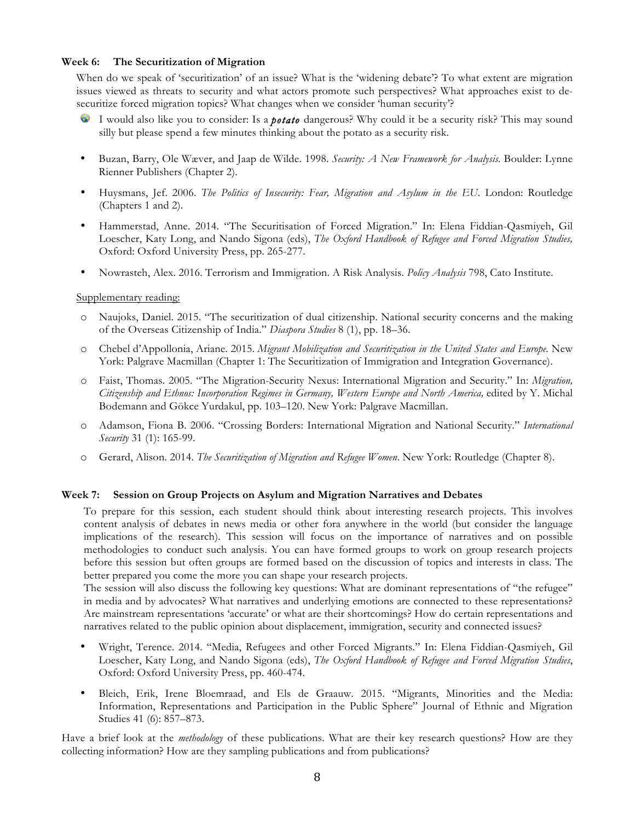#### **Week 6: The Securitization of Migration**

When do we speak of 'securitization' of an issue? What is the 'widening debate'? To what extent are migration issues viewed as threats to security and what actors promote such perspectives? What approaches exist to desecuritize forced migration topics? What changes when we consider 'human security'?

- I would also like you to consider: Is a *potato* dangerous? Why could it be a security risk? This may sound silly but please spend a few minutes thinking about the potato as a security risk.
- Buzan, Barry, Ole Wæver, and Jaap de Wilde. 1998. *Security: A New Framework for Analysis.* Boulder: Lynne Rienner Publishers (Chapter 2).
- Huysmans, Jef. 2006. *The Politics of Insecurity: Fear, Migration and Asylum in the EU*. London: Routledge (Chapters 1 and 2).
- Hammerstad, Anne. 2014. "The Securitisation of Forced Migration." In: Elena Fiddian-Qasmiyeh, Gil Loescher, Katy Long, and Nando Sigona (eds), *The Oxford Handbook of Refugee and Forced Migration Studies,*  Oxford: Oxford University Press, pp. 265-277.
- Nowrasteh, Alex. 2016. Terrorism and Immigration. A Risk Analysis. *Policy Analysis* 798, Cato Institute.

#### Supplementary reading:

- o Naujoks, Daniel. 2015. "The securitization of dual citizenship. National security concerns and the making of the Overseas Citizenship of India." *Diaspora Studies* 8 (1), pp. 18–36.
- o Chebel d'Appollonia, Ariane. 2015. *Migrant Mobilization and Securitization in the United States and Europe.* New York: Palgrave Macmillan (Chapter 1: The Securitization of Immigration and Integration Governance).
- o Faist, Thomas. 2005. "The Migration-Security Nexus: International Migration and Security." In: *Migration, Citizenship and Ethnos: Incorporation Regimes in Germany, Western Europe and North America,* edited by Y. Michal Bodemann and Gökce Yurdakul, pp. 103–120. New York: Palgrave Macmillan.
- o Adamson, Fiona B. 2006. "Crossing Borders: International Migration and National Security." *International Security* 31 (1): 165-99.
- o Gerard, Alison. 2014. *The Securitization of Migration and Refugee Women*. New York: Routledge (Chapter 8).

#### **Week 7: Session on Group Projects on Asylum and Migration Narratives and Debates**

To prepare for this session, each student should think about interesting research projects. This involves content analysis of debates in news media or other fora anywhere in the world (but consider the language implications of the research). This session will focus on the importance of narratives and on possible methodologies to conduct such analysis. You can have formed groups to work on group research projects before this session but often groups are formed based on the discussion of topics and interests in class. The better prepared you come the more you can shape your research projects.

The session will also discuss the following key questions: What are dominant representations of "the refugee" in media and by advocates? What narratives and underlying emotions are connected to these representations? Are mainstream representations 'accurate' or what are their shortcomings? How do certain representations and narratives related to the public opinion about displacement, immigration, security and connected issues?

- Wright, Terence. 2014. "Media, Refugees and other Forced Migrants." In: Elena Fiddian-Qasmiyeh, Gil Loescher, Katy Long, and Nando Sigona (eds), *The Oxford Handbook of Refugee and Forced Migration Studies*, Oxford: Oxford University Press, pp. 460-474.
- Bleich, Erik, Irene Bloemraad, and Els de Graauw. 2015. "Migrants, Minorities and the Media: Information, Representations and Participation in the Public Sphere" Journal of Ethnic and Migration Studies 41 (6): 857–873.

Have a brief look at the *methodology* of these publications. What are their key research questions? How are they collecting information? How are they sampling publications and from publications?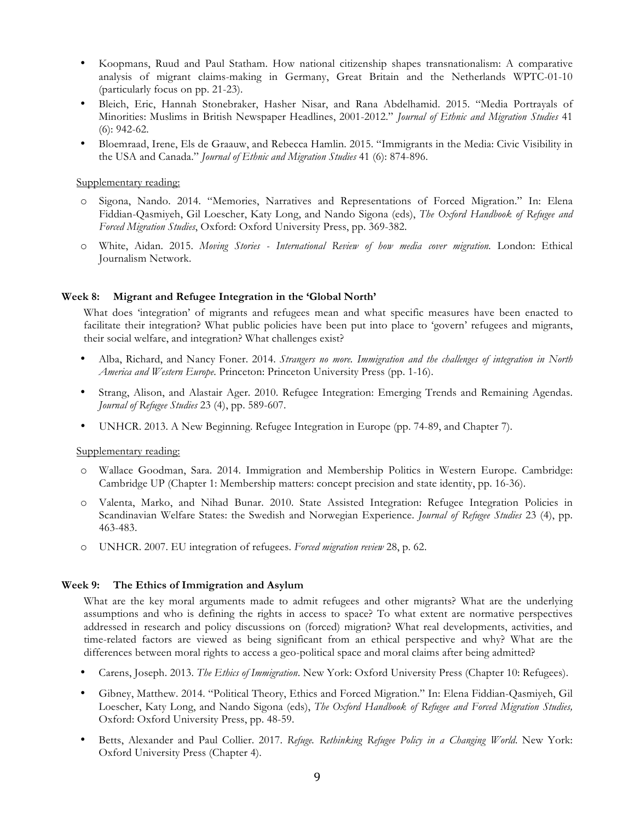- Koopmans, Ruud and Paul Statham. How national citizenship shapes transnationalism: A comparative analysis of migrant claims-making in Germany, Great Britain and the Netherlands WPTC-01-10 (particularly focus on pp. 21-23).
- Bleich, Eric, Hannah Stonebraker, Hasher Nisar, and Rana Abdelhamid. 2015. "Media Portrayals of Minorities: Muslims in British Newspaper Headlines, 2001-2012." *Journal of Ethnic and Migration Studies* 41 (6): 942-62.
- Bloemraad, Irene, Els de Graauw, and Rebecca Hamlin. 2015. "Immigrants in the Media: Civic Visibility in the USA and Canada." *Journal of Ethnic and Migration Studies* 41 (6): 874-896.

#### Supplementary reading:

- o Sigona, Nando. 2014. "Memories, Narratives and Representations of Forced Migration." In: Elena Fiddian-Qasmiyeh, Gil Loescher, Katy Long, and Nando Sigona (eds), *The Oxford Handbook of Refugee and Forced Migration Studies*, Oxford: Oxford University Press, pp. 369-382.
- o White, Aidan. 2015. *Moving Stories - International Review of how media cover migration.* London: Ethical Journalism Network.

#### **Week 8: Migrant and Refugee Integration in the 'Global North'**

What does 'integration' of migrants and refugees mean and what specific measures have been enacted to facilitate their integration? What public policies have been put into place to 'govern' refugees and migrants, their social welfare, and integration? What challenges exist?

- Alba, Richard, and Nancy Foner. 2014. *Strangers no more. Immigration and the challenges of integration in North America and Western Europe*. Princeton: Princeton University Press (pp. 1-16).
- Strang, Alison, and Alastair Ager. 2010. Refugee Integration: Emerging Trends and Remaining Agendas. *Journal of Refugee Studies* 23 (4), pp. 589-607.
- UNHCR. 2013. A New Beginning. Refugee Integration in Europe (pp. 74-89, and Chapter 7).

#### Supplementary reading:

- o Wallace Goodman, Sara. 2014. Immigration and Membership Politics in Western Europe. Cambridge: Cambridge UP (Chapter 1: Membership matters: concept precision and state identity, pp. 16-36).
- o Valenta, Marko, and Nihad Bunar. 2010. State Assisted Integration: Refugee Integration Policies in Scandinavian Welfare States: the Swedish and Norwegian Experience. *Journal of Refugee Studies* 23 (4), pp. 463-483.
- o UNHCR. 2007. EU integration of refugees. *Forced migration review* 28, p. 62.

#### **Week 9: The Ethics of Immigration and Asylum**

What are the key moral arguments made to admit refugees and other migrants? What are the underlying assumptions and who is defining the rights in access to space? To what extent are normative perspectives addressed in research and policy discussions on (forced) migration? What real developments, activities, and time-related factors are viewed as being significant from an ethical perspective and why? What are the differences between moral rights to access a geo-political space and moral claims after being admitted?

- Carens, Joseph. 2013. *The Ethics of Immigration*. New York: Oxford University Press (Chapter 10: Refugees).
- Gibney, Matthew. 2014. "Political Theory, Ethics and Forced Migration." In: Elena Fiddian-Qasmiyeh, Gil Loescher, Katy Long, and Nando Sigona (eds), *The Oxford Handbook of Refugee and Forced Migration Studies,* Oxford: Oxford University Press, pp. 48-59.
- Betts, Alexander and Paul Collier. 2017. *Refuge. Rethinking Refugee Policy in a Changing World*. New York: Oxford University Press (Chapter 4).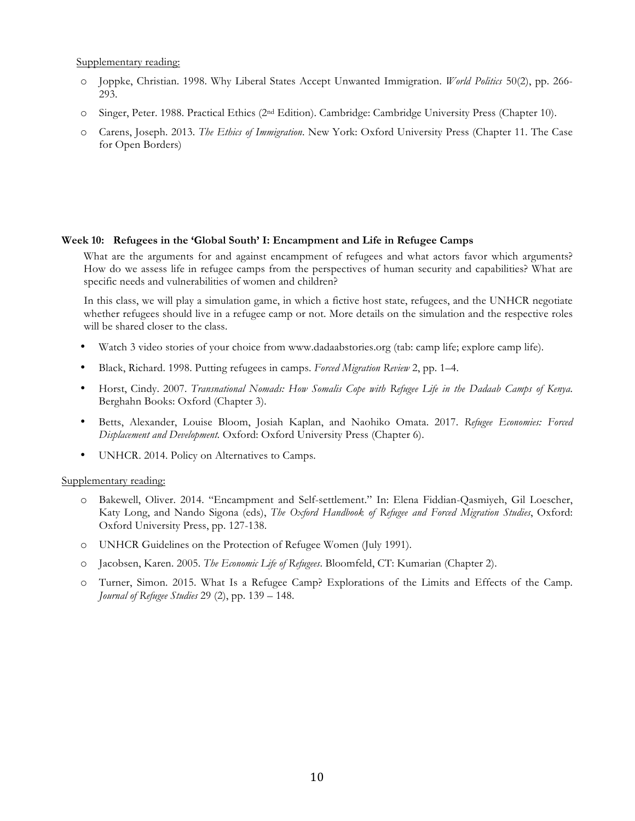Supplementary reading:

- o Joppke, Christian. 1998. Why Liberal States Accept Unwanted Immigration. *World Politics* 50(2), pp. 266- 293.
- o Singer, Peter. 1988. Practical Ethics (2nd Edition). Cambridge: Cambridge University Press (Chapter 10).
- o Carens, Joseph. 2013. *The Ethics of Immigration*. New York: Oxford University Press (Chapter 11. The Case for Open Borders)

#### **Week 10: Refugees in the 'Global South' I: Encampment and Life in Refugee Camps**

What are the arguments for and against encampment of refugees and what actors favor which arguments? How do we assess life in refugee camps from the perspectives of human security and capabilities? What are specific needs and vulnerabilities of women and children?

In this class, we will play a simulation game, in which a fictive host state, refugees, and the UNHCR negotiate whether refugees should live in a refugee camp or not. More details on the simulation and the respective roles will be shared closer to the class.

- Watch 3 video stories of your choice from www.dadaabstories.org (tab: camp life; explore camp life).
- Black, Richard. 1998. Putting refugees in camps. *Forced Migration Review* 2, pp. 1–4.
- Horst, Cindy. 2007. *Transnational Nomads: How Somalis Cope with Refugee Life in the Dadaab Camps of Kenya*. Berghahn Books: Oxford (Chapter 3).
- Betts, Alexander, Louise Bloom, Josiah Kaplan, and Naohiko Omata. 2017. *Refugee Economies: Forced Displacement and Development.* Oxford: Oxford University Press (Chapter 6).
- UNHCR. 2014. Policy on Alternatives to Camps.

- o Bakewell, Oliver. 2014. "Encampment and Self-settlement." In: Elena Fiddian-Qasmiyeh, Gil Loescher, Katy Long, and Nando Sigona (eds), *The Oxford Handbook of Refugee and Forced Migration Studies*, Oxford: Oxford University Press, pp. 127-138.
- o UNHCR Guidelines on the Protection of Refugee Women (July 1991).
- o Jacobsen, Karen. 2005. *The Economic Life of Refugees*. Bloomfeld, CT: Kumarian (Chapter 2).
- o Turner, Simon. 2015. What Is a Refugee Camp? Explorations of the Limits and Effects of the Camp. *Journal of Refugee Studies* 29 (2), pp. 139 – 148.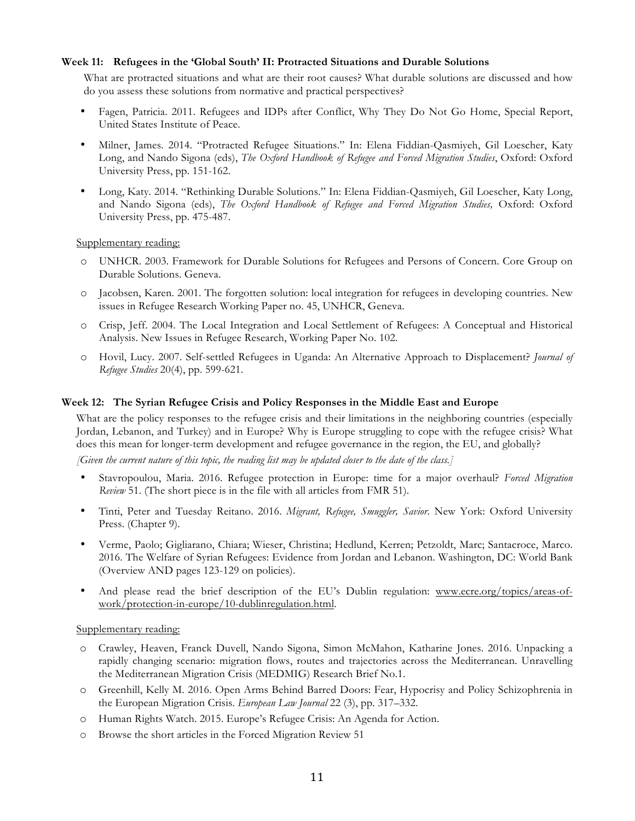#### **Week 11: Refugees in the 'Global South' II: Protracted Situations and Durable Solutions**

What are protracted situations and what are their root causes? What durable solutions are discussed and how do you assess these solutions from normative and practical perspectives?

- Fagen, Patricia. 2011. Refugees and IDPs after Conflict, Why They Do Not Go Home, Special Report, United States Institute of Peace.
- Milner, James. 2014. "Protracted Refugee Situations." In: Elena Fiddian-Qasmiyeh, Gil Loescher, Katy Long, and Nando Sigona (eds), *The Oxford Handbook of Refugee and Forced Migration Studies*, Oxford: Oxford University Press, pp. 151-162.
- Long, Katy. 2014. "Rethinking Durable Solutions." In: Elena Fiddian-Qasmiyeh, Gil Loescher, Katy Long, and Nando Sigona (eds), *The Oxford Handbook of Refugee and Forced Migration Studies,* Oxford: Oxford University Press, pp. 475-487.

Supplementary reading:

- o UNHCR. 2003. Framework for Durable Solutions for Refugees and Persons of Concern. Core Group on Durable Solutions. Geneva.
- o Jacobsen, Karen. 2001. The forgotten solution: local integration for refugees in developing countries. New issues in Refugee Research Working Paper no. 45, UNHCR, Geneva.
- o Crisp, Jeff. 2004. The Local Integration and Local Settlement of Refugees: A Conceptual and Historical Analysis. New Issues in Refugee Research, Working Paper No. 102.
- o Hovil, Lucy. 2007. Self-settled Refugees in Uganda: An Alternative Approach to Displacement? *Journal of Refugee Studies* 20(4), pp. 599-621.

#### **Week 12: The Syrian Refugee Crisis and Policy Responses in the Middle East and Europe**

What are the policy responses to the refugee crisis and their limitations in the neighboring countries (especially Jordan, Lebanon, and Turkey) and in Europe? Why is Europe struggling to cope with the refugee crisis? What does this mean for longer-term development and refugee governance in the region, the EU, and globally?

*[Given the current nature of this topic, the reading list may be updated closer to the date of the class.]*

- Stavropoulou, Maria. 2016. Refugee protection in Europe: time for a major overhaul? *Forced Migration Review* 51. (The short piece is in the file with all articles from FMR 51).
- Tinti, Peter and Tuesday Reitano. 2016. *Migrant, Refugee, Smuggler, Savior*. New York: Oxford University Press. (Chapter 9).
- Verme, Paolo; Gigliarano, Chiara; Wieser, Christina; Hedlund, Kerren; Petzoldt, Marc; Santacroce, Marco. 2016. The Welfare of Syrian Refugees: Evidence from Jordan and Lebanon. Washington, DC: World Bank (Overview AND pages 123-129 on policies).
- And please read the brief description of the EU's Dublin regulation: www.ecre.org/topics/areas-ofwork/protection-in-europe/10-dublinregulation.html.

- o Crawley, Heaven, Franck Duvell, Nando Sigona, Simon McMahon, Katharine Jones. 2016. Unpacking a rapidly changing scenario: migration flows, routes and trajectories across the Mediterranean. Unravelling the Mediterranean Migration Crisis (MEDMIG) Research Brief No.1.
- o Greenhill, Kelly M. 2016. Open Arms Behind Barred Doors: Fear, Hypocrisy and Policy Schizophrenia in the European Migration Crisis. *European Law Journal* 22 (3), pp. 317–332.
- o Human Rights Watch. 2015. Europe's Refugee Crisis: An Agenda for Action.
- o Browse the short articles in the Forced Migration Review 51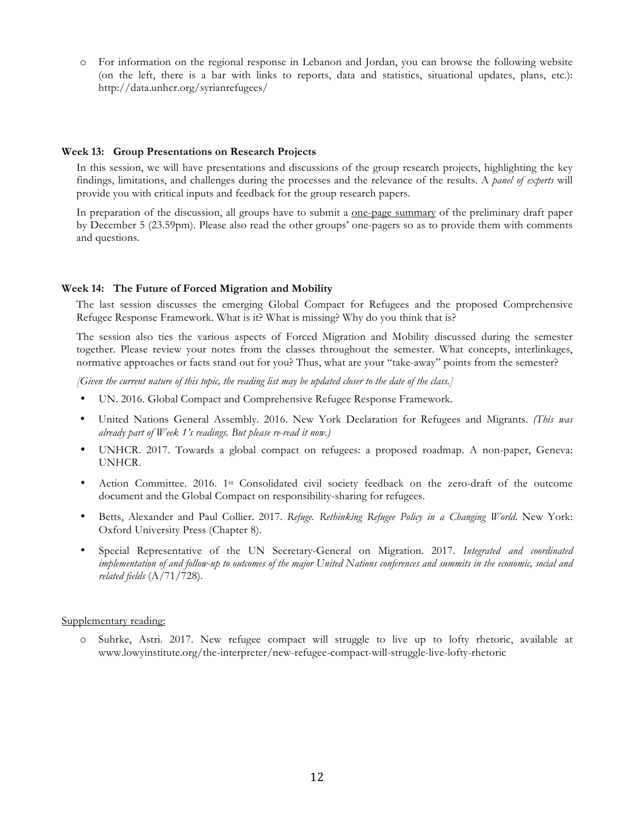o For information on the regional response in Lebanon and Jordan, you can browse the following website (on the left, there is a bar with links to reports, data and statistics, situational updates, plans, etc.): http://data.unhcr.org/syrianrefugees/

#### **Week 13: Group Presentations on Research Projects**

In this session, we will have presentations and discussions of the group research projects, highlighting the key findings, limitations, and challenges during the processes and the relevance of the results. A *panel of experts* will provide you with critical inputs and feedback for the group research papers.

In preparation of the discussion, all groups have to submit a one-page summary of the preliminary draft paper by December 5 (23.59pm). Please also read the other groups' one-pagers so as to provide them with comments and questions.

#### **Week 14: The Future of Forced Migration and Mobility**

The last session discusses the emerging Global Compact for Refugees and the proposed Comprehensive Refugee Response Framework. What is it? What is missing? Why do you think that is?

The session also ties the various aspects of Forced Migration and Mobility discussed during the semester together. Please review your notes from the classes throughout the semester. What concepts, interlinkages, normative approaches or facts stand out for you? Thus, what are your "take-away" points from the semester?

*[Given the current nature of this topic, the reading list may be updated closer to the date of the class.]*

- UN. 2016. Global Compact and Comprehensive Refugee Response Framework.
- United Nations General Assembly. 2016. New York Declaration for Refugees and Migrants. *(This was already part of Week 1's readings. But please re-read it now.)*
- UNHCR. 2017. Towards a global compact on refugees: a proposed roadmap. A non-paper, Geneva: UNHCR.
- Action Committee. 2016. 1st Consolidated civil society feedback on the zero-draft of the outcome document and the Global Compact on responsibility-sharing for refugees.
- Betts, Alexander and Paul Collier. 2017. *Refuge. Rethinking Refugee Policy in a Changing World*. New York: Oxford University Press (Chapter 8).
- Special Representative of the UN Secretary-General on Migration. 2017. *Integrated and coordinated implementation of and follow-up to outcomes of the major United Nations conferences and summits in the economic, social and related fields* (A/71/728).

#### Supplementary reading:

o Suhrke, Astri. 2017. New refugee compact will struggle to live up to lofty rhetoric, available at www.lowyinstitute.org/the-interpreter/new-refugee-compact-will-struggle-live-lofty-rhetoric